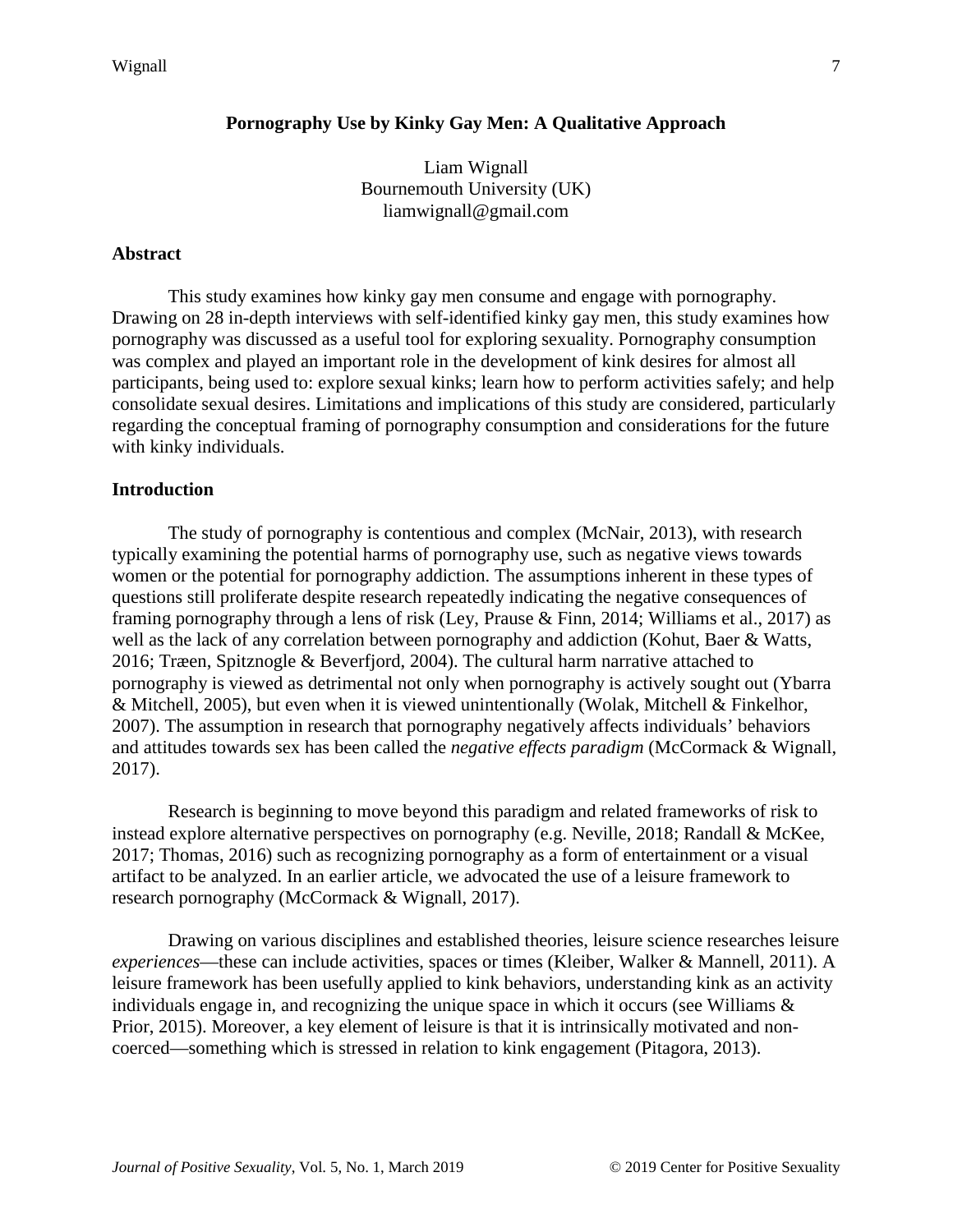# **Pornography Use by Kinky Gay Men: A Qualitative Approach**

Liam Wignall Bournemouth University (UK) liamwignall@gmail.com

#### **Abstract**

This study examines how kinky gay men consume and engage with pornography. Drawing on 28 in-depth interviews with self-identified kinky gay men, this study examines how pornography was discussed as a useful tool for exploring sexuality. Pornography consumption was complex and played an important role in the development of kink desires for almost all participants, being used to: explore sexual kinks; learn how to perform activities safely; and help consolidate sexual desires. Limitations and implications of this study are considered, particularly regarding the conceptual framing of pornography consumption and considerations for the future with kinky individuals.

#### **Introduction**

The study of pornography is contentious and complex (McNair, 2013), with research typically examining the potential harms of pornography use, such as negative views towards women or the potential for pornography addiction. The assumptions inherent in these types of questions still proliferate despite research repeatedly indicating the negative consequences of framing pornography through a lens of risk (Ley, Prause & Finn, 2014; Williams et al., 2017) as well as the lack of any correlation between pornography and addiction (Kohut, Baer & Watts, 2016; Træen, Spitznogle & Beverfjord, 2004). The cultural harm narrative attached to pornography is viewed as detrimental not only when pornography is actively sought out (Ybarra & Mitchell, 2005), but even when it is viewed unintentionally (Wolak, Mitchell & Finkelhor, 2007). The assumption in research that pornography negatively affects individuals' behaviors and attitudes towards sex has been called the *negative effects paradigm* (McCormack & Wignall, 2017).

Research is beginning to move beyond this paradigm and related frameworks of risk to instead explore alternative perspectives on pornography (e.g. Neville, 2018; Randall & McKee, 2017; Thomas, 2016) such as recognizing pornography as a form of entertainment or a visual artifact to be analyzed. In an earlier article, we advocated the use of a leisure framework to research pornography (McCormack & Wignall, 2017).

Drawing on various disciplines and established theories, leisure science researches leisure *experiences*—these can include activities, spaces or times (Kleiber, Walker & Mannell, 2011). A leisure framework has been usefully applied to kink behaviors, understanding kink as an activity individuals engage in, and recognizing the unique space in which it occurs (see Williams & Prior, 2015). Moreover, a key element of leisure is that it is intrinsically motivated and noncoerced—something which is stressed in relation to kink engagement (Pitagora, 2013).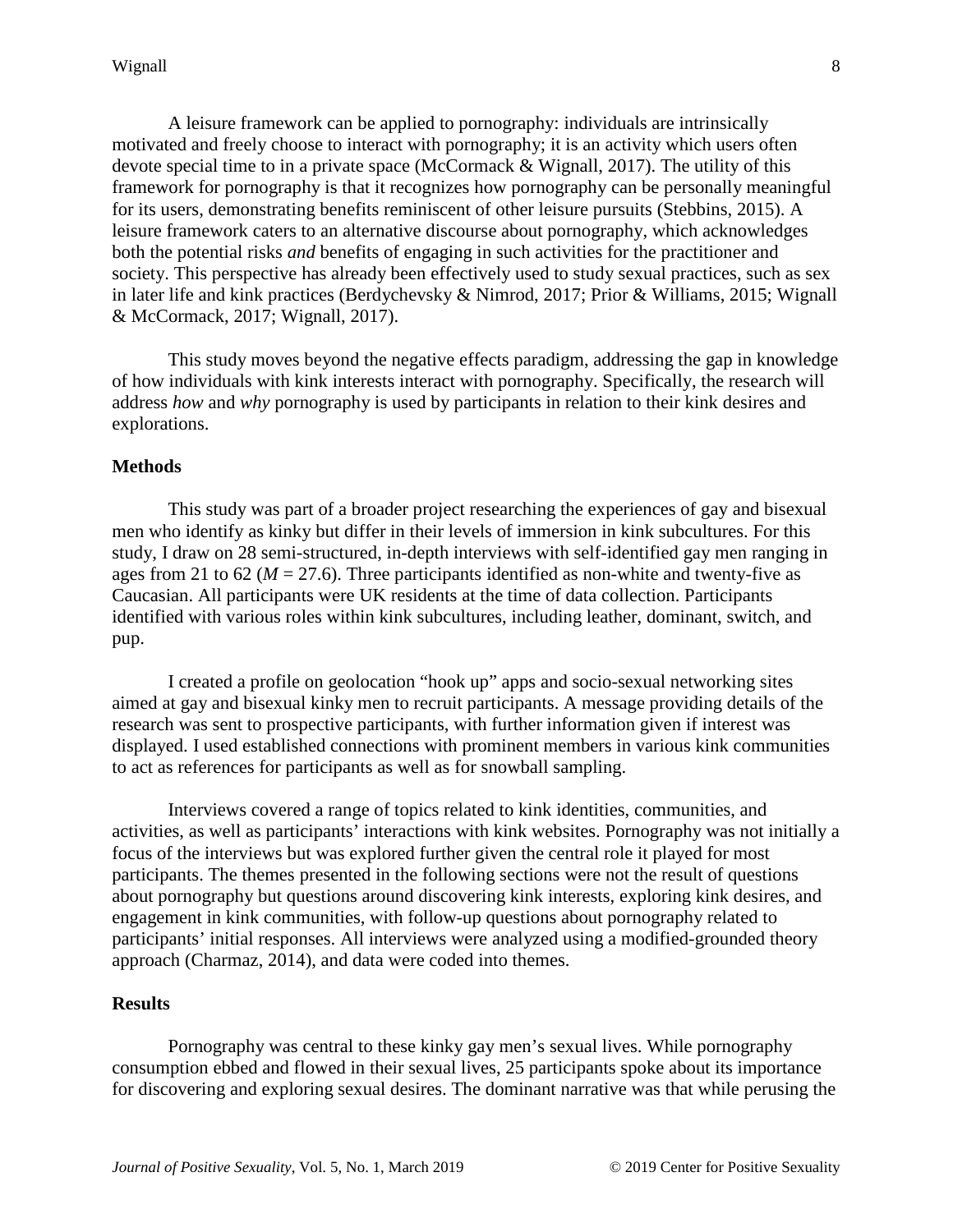A leisure framework can be applied to pornography: individuals are intrinsically motivated and freely choose to interact with pornography; it is an activity which users often devote special time to in a private space (McCormack & Wignall, 2017). The utility of this framework for pornography is that it recognizes how pornography can be personally meaningful for its users, demonstrating benefits reminiscent of other leisure pursuits (Stebbins, 2015). A leisure framework caters to an alternative discourse about pornography, which acknowledges both the potential risks *and* benefits of engaging in such activities for the practitioner and society. This perspective has already been effectively used to study sexual practices, such as sex in later life and kink practices (Berdychevsky & Nimrod, 2017; Prior & Williams, 2015; Wignall & McCormack, 2017; Wignall, 2017).

This study moves beyond the negative effects paradigm, addressing the gap in knowledge of how individuals with kink interests interact with pornography. Specifically, the research will address *how* and *why* pornography is used by participants in relation to their kink desires and explorations.

### **Methods**

This study was part of a broader project researching the experiences of gay and bisexual men who identify as kinky but differ in their levels of immersion in kink subcultures. For this study, I draw on 28 semi-structured, in-depth interviews with self-identified gay men ranging in ages from 21 to 62 ( $M = 27.6$ ). Three participants identified as non-white and twenty-five as Caucasian. All participants were UK residents at the time of data collection. Participants identified with various roles within kink subcultures, including leather, dominant, switch, and pup.

I created a profile on geolocation "hook up" apps and socio-sexual networking sites aimed at gay and bisexual kinky men to recruit participants. A message providing details of the research was sent to prospective participants, with further information given if interest was displayed. I used established connections with prominent members in various kink communities to act as references for participants as well as for snowball sampling.

Interviews covered a range of topics related to kink identities, communities, and activities, as well as participants' interactions with kink websites. Pornography was not initially a focus of the interviews but was explored further given the central role it played for most participants. The themes presented in the following sections were not the result of questions about pornography but questions around discovering kink interests, exploring kink desires, and engagement in kink communities, with follow-up questions about pornography related to participants' initial responses. All interviews were analyzed using a modified-grounded theory approach (Charmaz, 2014), and data were coded into themes.

#### **Results**

Pornography was central to these kinky gay men's sexual lives. While pornography consumption ebbed and flowed in their sexual lives, 25 participants spoke about its importance for discovering and exploring sexual desires. The dominant narrative was that while perusing the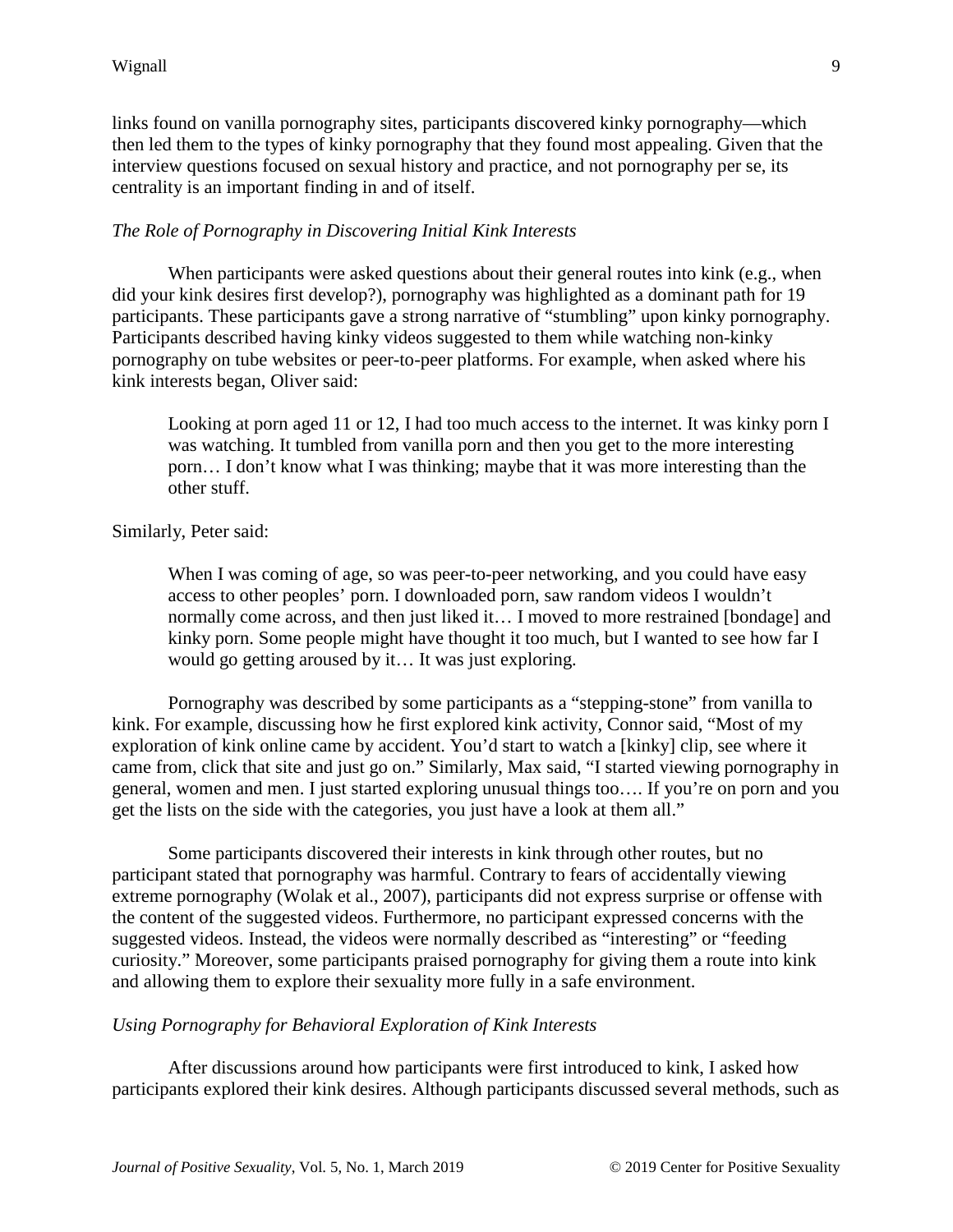links found on vanilla pornography sites, participants discovered kinky pornography—which then led them to the types of kinky pornography that they found most appealing. Given that the interview questions focused on sexual history and practice, and not pornography per se, its centrality is an important finding in and of itself.

# *The Role of Pornography in Discovering Initial Kink Interests*

When participants were asked questions about their general routes into kink (e.g., when did your kink desires first develop?), pornography was highlighted as a dominant path for 19 participants. These participants gave a strong narrative of "stumbling" upon kinky pornography. Participants described having kinky videos suggested to them while watching non-kinky pornography on tube websites or peer-to-peer platforms. For example, when asked where his kink interests began, Oliver said:

Looking at porn aged 11 or 12, I had too much access to the internet. It was kinky porn I was watching. It tumbled from vanilla porn and then you get to the more interesting porn… I don't know what I was thinking; maybe that it was more interesting than the other stuff.

### Similarly, Peter said:

When I was coming of age, so was peer-to-peer networking, and you could have easy access to other peoples' porn. I downloaded porn, saw random videos I wouldn't normally come across, and then just liked it... I moved to more restrained [bondage] and kinky porn. Some people might have thought it too much, but I wanted to see how far I would go getting aroused by it… It was just exploring.

Pornography was described by some participants as a "stepping-stone" from vanilla to kink. For example, discussing how he first explored kink activity, Connor said, "Most of my exploration of kink online came by accident. You'd start to watch a [kinky] clip, see where it came from, click that site and just go on." Similarly, Max said, "I started viewing pornography in general, women and men. I just started exploring unusual things too…. If you're on porn and you get the lists on the side with the categories, you just have a look at them all."

Some participants discovered their interests in kink through other routes, but no participant stated that pornography was harmful. Contrary to fears of accidentally viewing extreme pornography (Wolak et al., 2007), participants did not express surprise or offense with the content of the suggested videos. Furthermore, no participant expressed concerns with the suggested videos. Instead, the videos were normally described as "interesting" or "feeding curiosity." Moreover, some participants praised pornography for giving them a route into kink and allowing them to explore their sexuality more fully in a safe environment.

### *Using Pornography for Behavioral Exploration of Kink Interests*

After discussions around how participants were first introduced to kink, I asked how participants explored their kink desires. Although participants discussed several methods, such as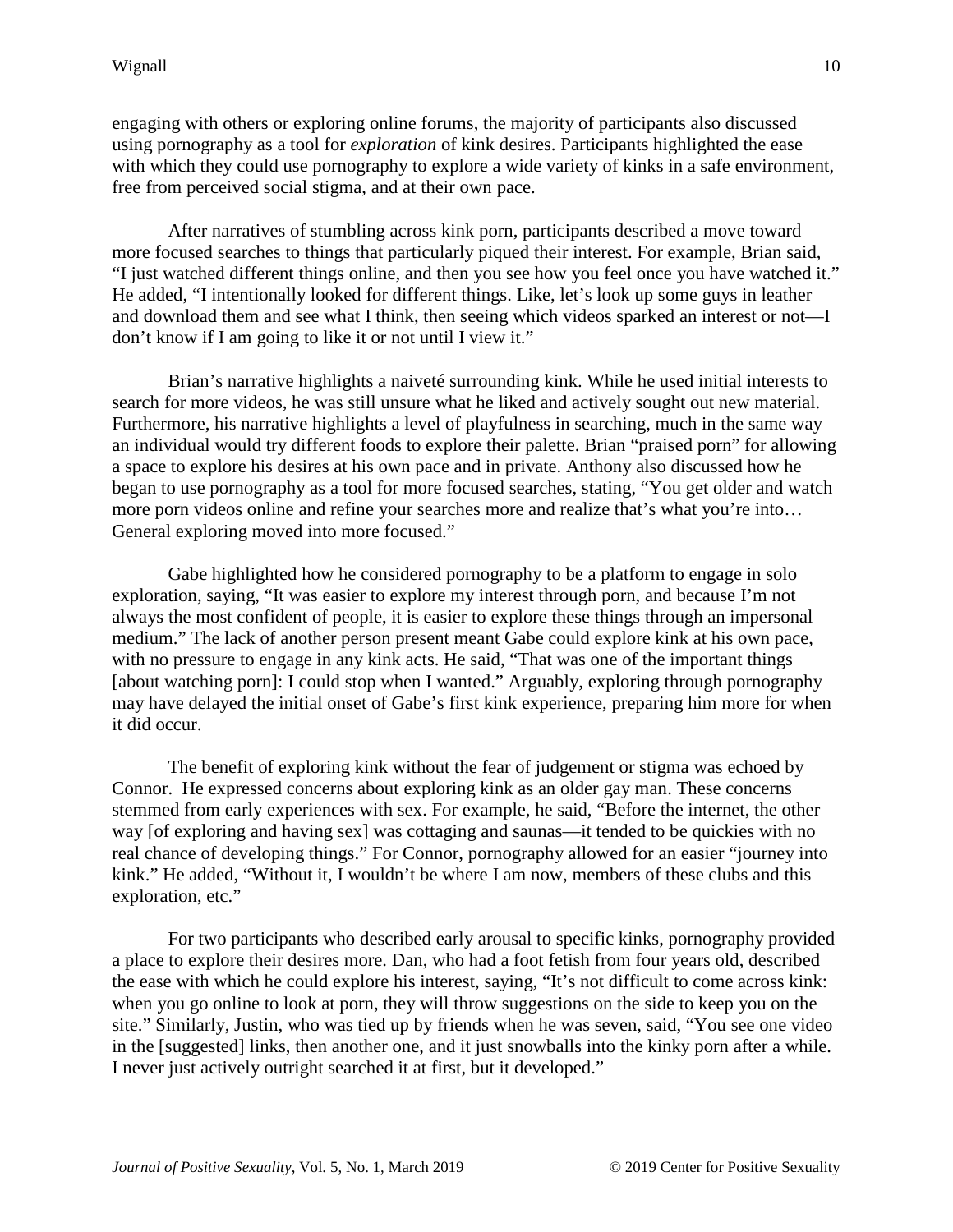engaging with others or exploring online forums, the majority of participants also discussed using pornography as a tool for *exploration* of kink desires. Participants highlighted the ease with which they could use pornography to explore a wide variety of kinks in a safe environment, free from perceived social stigma, and at their own pace.

After narratives of stumbling across kink porn, participants described a move toward more focused searches to things that particularly piqued their interest. For example, Brian said, "I just watched different things online, and then you see how you feel once you have watched it." He added, "I intentionally looked for different things. Like, let's look up some guys in leather and download them and see what I think, then seeing which videos sparked an interest or not—I don't know if I am going to like it or not until I view it."

Brian's narrative highlights a naiveté surrounding kink. While he used initial interests to search for more videos, he was still unsure what he liked and actively sought out new material. Furthermore, his narrative highlights a level of playfulness in searching, much in the same way an individual would try different foods to explore their palette. Brian "praised porn" for allowing a space to explore his desires at his own pace and in private. Anthony also discussed how he began to use pornography as a tool for more focused searches, stating, "You get older and watch more porn videos online and refine your searches more and realize that's what you're into… General exploring moved into more focused."

Gabe highlighted how he considered pornography to be a platform to engage in solo exploration, saying, "It was easier to explore my interest through porn, and because I'm not always the most confident of people, it is easier to explore these things through an impersonal medium." The lack of another person present meant Gabe could explore kink at his own pace, with no pressure to engage in any kink acts. He said, "That was one of the important things [about watching porn]: I could stop when I wanted." Arguably, exploring through pornography may have delayed the initial onset of Gabe's first kink experience, preparing him more for when it did occur.

The benefit of exploring kink without the fear of judgement or stigma was echoed by Connor. He expressed concerns about exploring kink as an older gay man. These concerns stemmed from early experiences with sex. For example, he said, "Before the internet, the other way [of exploring and having sex] was cottaging and saunas—it tended to be quickies with no real chance of developing things." For Connor, pornography allowed for an easier "journey into kink." He added, "Without it, I wouldn't be where I am now, members of these clubs and this exploration, etc."

For two participants who described early arousal to specific kinks, pornography provided a place to explore their desires more. Dan, who had a foot fetish from four years old, described the ease with which he could explore his interest, saying, "It's not difficult to come across kink: when you go online to look at porn, they will throw suggestions on the side to keep you on the site." Similarly, Justin, who was tied up by friends when he was seven, said, "You see one video in the [suggested] links, then another one, and it just snowballs into the kinky porn after a while. I never just actively outright searched it at first, but it developed."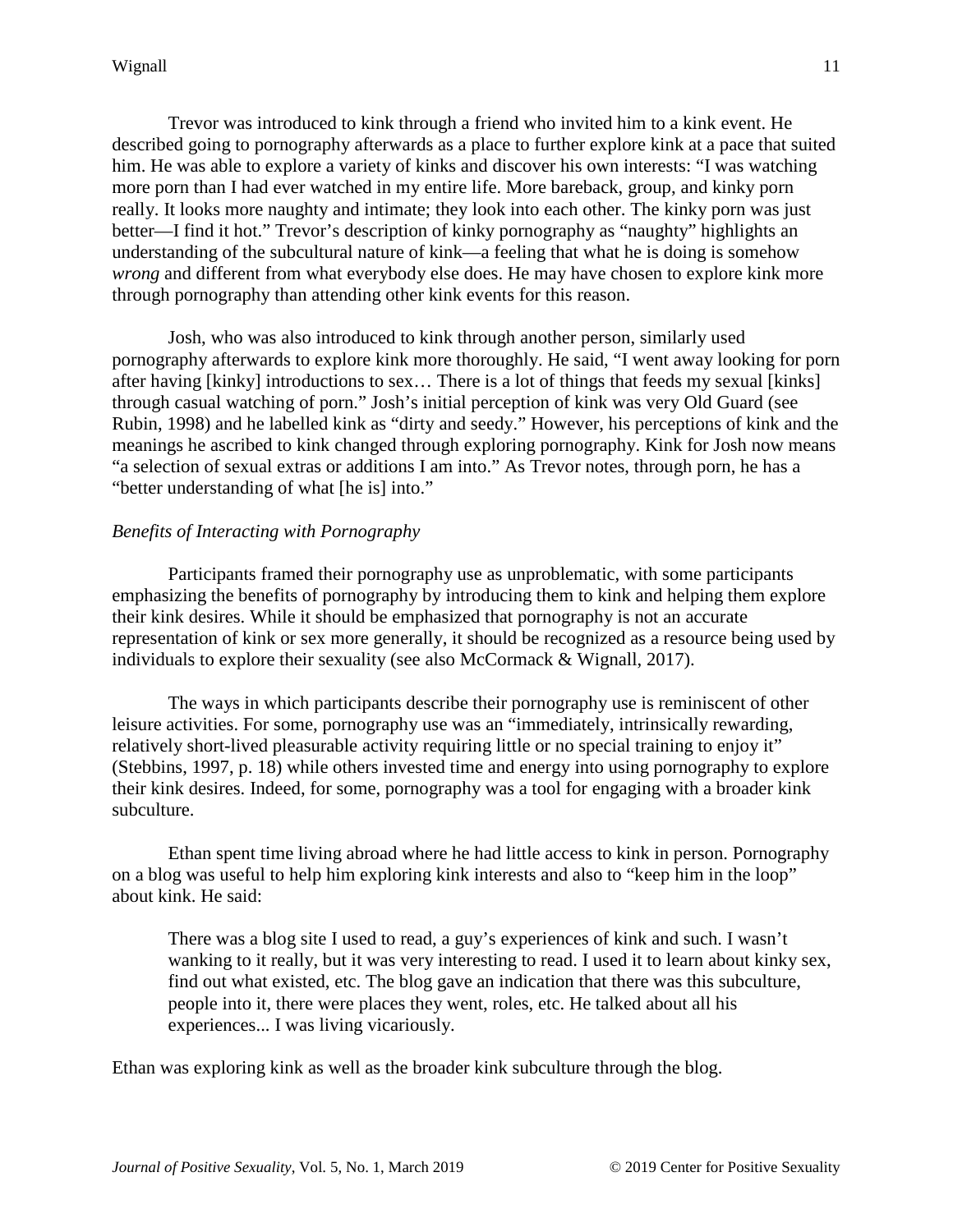Trevor was introduced to kink through a friend who invited him to a kink event. He described going to pornography afterwards as a place to further explore kink at a pace that suited him. He was able to explore a variety of kinks and discover his own interests: "I was watching more porn than I had ever watched in my entire life. More bareback, group, and kinky porn really. It looks more naughty and intimate; they look into each other. The kinky porn was just better—I find it hot." Trevor's description of kinky pornography as "naughty" highlights an understanding of the subcultural nature of kink—a feeling that what he is doing is somehow *wrong* and different from what everybody else does. He may have chosen to explore kink more through pornography than attending other kink events for this reason.

Josh, who was also introduced to kink through another person, similarly used pornography afterwards to explore kink more thoroughly. He said, "I went away looking for porn after having [kinky] introductions to sex… There is a lot of things that feeds my sexual [kinks] through casual watching of porn." Josh's initial perception of kink was very Old Guard (see Rubin, 1998) and he labelled kink as "dirty and seedy." However, his perceptions of kink and the meanings he ascribed to kink changed through exploring pornography. Kink for Josh now means "a selection of sexual extras or additions I am into." As Trevor notes, through porn, he has a "better understanding of what [he is] into."

# *Benefits of Interacting with Pornography*

Participants framed their pornography use as unproblematic, with some participants emphasizing the benefits of pornography by introducing them to kink and helping them explore their kink desires. While it should be emphasized that pornography is not an accurate representation of kink or sex more generally, it should be recognized as a resource being used by individuals to explore their sexuality (see also McCormack & Wignall, 2017).

The ways in which participants describe their pornography use is reminiscent of other leisure activities. For some, pornography use was an "immediately, intrinsically rewarding, relatively short-lived pleasurable activity requiring little or no special training to enjoy it" (Stebbins, 1997, p. 18) while others invested time and energy into using pornography to explore their kink desires. Indeed, for some, pornography was a tool for engaging with a broader kink subculture.

Ethan spent time living abroad where he had little access to kink in person. Pornography on a blog was useful to help him exploring kink interests and also to "keep him in the loop" about kink. He said:

There was a blog site I used to read, a guy's experiences of kink and such. I wasn't wanking to it really, but it was very interesting to read. I used it to learn about kinky sex, find out what existed, etc. The blog gave an indication that there was this subculture, people into it, there were places they went, roles, etc. He talked about all his experiences... I was living vicariously.

Ethan was exploring kink as well as the broader kink subculture through the blog.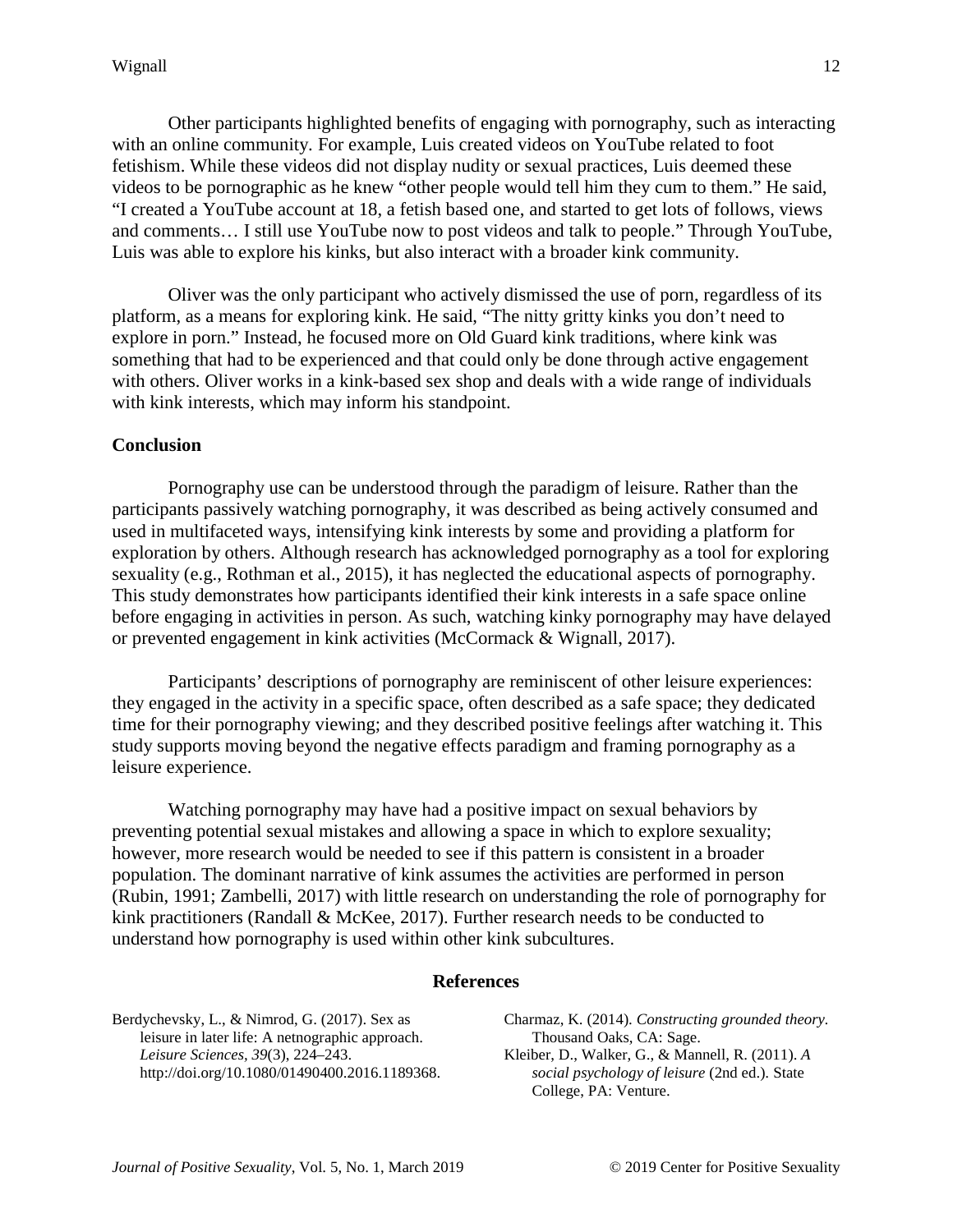Other participants highlighted benefits of engaging with pornography, such as interacting with an online community. For example, Luis created videos on YouTube related to foot fetishism. While these videos did not display nudity or sexual practices, Luis deemed these videos to be pornographic as he knew "other people would tell him they cum to them." He said, "I created a YouTube account at 18, a fetish based one, and started to get lots of follows, views and comments… I still use YouTube now to post videos and talk to people." Through YouTube, Luis was able to explore his kinks, but also interact with a broader kink community.

Oliver was the only participant who actively dismissed the use of porn, regardless of its platform, as a means for exploring kink. He said, "The nitty gritty kinks you don't need to explore in porn." Instead, he focused more on Old Guard kink traditions, where kink was something that had to be experienced and that could only be done through active engagement with others. Oliver works in a kink-based sex shop and deals with a wide range of individuals with kink interests, which may inform his standpoint.

## **Conclusion**

Pornography use can be understood through the paradigm of leisure. Rather than the participants passively watching pornography, it was described as being actively consumed and used in multifaceted ways, intensifying kink interests by some and providing a platform for exploration by others. Although research has acknowledged pornography as a tool for exploring sexuality (e.g., Rothman et al., 2015), it has neglected the educational aspects of pornography. This study demonstrates how participants identified their kink interests in a safe space online before engaging in activities in person. As such, watching kinky pornography may have delayed or prevented engagement in kink activities (McCormack & Wignall, 2017).

Participants' descriptions of pornography are reminiscent of other leisure experiences: they engaged in the activity in a specific space, often described as a safe space; they dedicated time for their pornography viewing; and they described positive feelings after watching it. This study supports moving beyond the negative effects paradigm and framing pornography as a leisure experience.

Watching pornography may have had a positive impact on sexual behaviors by preventing potential sexual mistakes and allowing a space in which to explore sexuality; however, more research would be needed to see if this pattern is consistent in a broader population. The dominant narrative of kink assumes the activities are performed in person (Rubin, 1991; Zambelli, 2017) with little research on understanding the role of pornography for kink practitioners (Randall & McKee, 2017). Further research needs to be conducted to understand how pornography is used within other kink subcultures.

#### **References**

Berdychevsky, L., & Nimrod, G. (2017). Sex as leisure in later life: A netnographic approach. *Leisure Sciences, 39*(3), 224–243. http://doi.org/10.1080/01490400.2016.1189368. Charmaz, K. (2014). *Constructing grounded theory.* Thousand Oaks, CA: Sage. Kleiber, D., Walker, G., & Mannell, R. (2011). *A social psychology of leisure* (2nd ed.)*.* State College, PA: Venture.